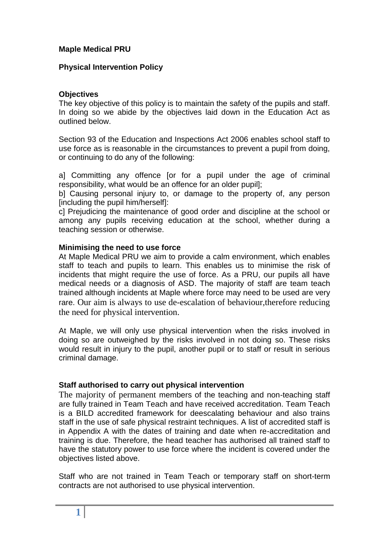## **Maple Medical PRU**

## **Physical Intervention Policy**

#### **Objectives**

The key objective of this policy is to maintain the safety of the pupils and staff. In doing so we abide by the objectives laid down in the Education Act as outlined below.

Section 93 of the Education and Inspections Act 2006 enables school staff to use force as is reasonable in the circumstances to prevent a pupil from doing, or continuing to do any of the following:

al Committing any offence for for a pupil under the age of criminal responsibility, what would be an offence for an older pupil];

b] Causing personal injury to, or damage to the property of, any person [including the pupil him/herself]:

c] Prejudicing the maintenance of good order and discipline at the school or among any pupils receiving education at the school, whether during a teaching session or otherwise.

#### **Minimising the need to use force**

At Maple Medical PRU we aim to provide a calm environment, which enables staff to teach and pupils to learn. This enables us to minimise the risk of incidents that might require the use of force. As a PRU, our pupils all have medical needs or a diagnosis of ASD. The majority of staff are team teach trained although incidents at Maple where force may need to be used are very rare. Our aim is always to use de-escalation of behaviour,therefore reducing the need for physical intervention.

At Maple, we will only use physical intervention when the risks involved in doing so are outweighed by the risks involved in not doing so. These risks would result in injury to the pupil, another pupil or to staff or result in serious criminal damage.

#### **Staff authorised to carry out physical intervention**

The majority of permanent members of the teaching and non-teaching staff are fully trained in Team Teach and have received accreditation. Team Teach is a BILD accredited framework for deescalating behaviour and also trains staff in the use of safe physical restraint techniques. A list of accredited staff is in Appendix A with the dates of training and date when re-accreditation and training is due. Therefore, the head teacher has authorised all trained staff to have the statutory power to use force where the incident is covered under the objectives listed above.

Staff who are not trained in Team Teach or temporary staff on short-term contracts are not authorised to use physical intervention.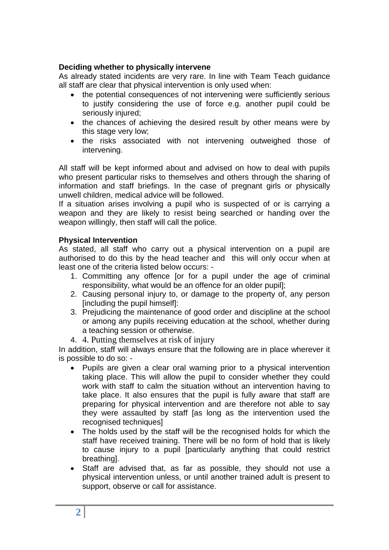## **Deciding whether to physically intervene**

As already stated incidents are very rare. In line with Team Teach guidance all staff are clear that physical intervention is only used when:

- the potential consequences of not intervening were sufficiently serious to justify considering the use of force e.g. another pupil could be seriously injured;
- the chances of achieving the desired result by other means were by this stage very low;
- the risks associated with not intervening outweighed those of intervening.

All staff will be kept informed about and advised on how to deal with pupils who present particular risks to themselves and others through the sharing of information and staff briefings. In the case of pregnant girls or physically unwell children, medical advice will be followed.

If a situation arises involving a pupil who is suspected of or is carrying a weapon and they are likely to resist being searched or handing over the weapon willingly, then staff will call the police.

## **Physical Intervention**

As stated, all staff who carry out a physical intervention on a pupil are authorised to do this by the head teacher and this will only occur when at least one of the criteria listed below occurs: -

- 1. Committing any offence [or for a pupil under the age of criminal responsibility, what would be an offence for an older pupil];
- 2. Causing personal injury to, or damage to the property of, any person [including the pupil himself]:
- 3. Prejudicing the maintenance of good order and discipline at the school or among any pupils receiving education at the school, whether during a teaching session or otherwise.
- 4. 4. Putting themselves at risk of injury

In addition, staff will always ensure that the following are in place wherever it is possible to do so: -

- Pupils are given a clear oral warning prior to a physical intervention taking place. This will allow the pupil to consider whether they could work with staff to calm the situation without an intervention having to take place. It also ensures that the pupil is fully aware that staff are preparing for physical intervention and are therefore not able to say they were assaulted by staff [as long as the intervention used the recognised techniques]
- The holds used by the staff will be the recognised holds for which the staff have received training. There will be no form of hold that is likely to cause injury to a pupil [particularly anything that could restrict breathing].
- Staff are advised that, as far as possible, they should not use a physical intervention unless, or until another trained adult is present to support, observe or call for assistance.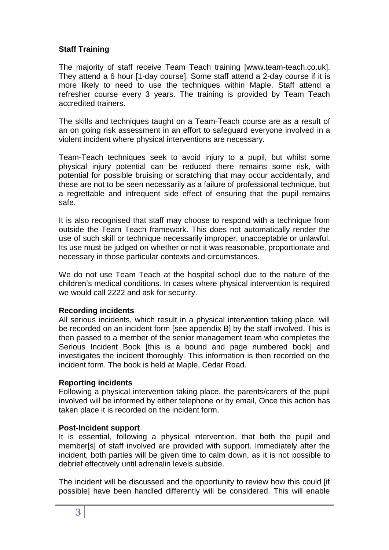## **Staff Training**

The majority of staff receive Team Teach training [www.team-teach.co.uk]. They attend a 6 hour [1-day course]. Some staff attend a 2-day course if it is more likely to need to use the techniques within Maple. Staff attend a refresher course every 3 years. The training is provided by Team Teach accredited trainers.

The skills and techniques taught on a Team-Teach course are as a result of an on going risk assessment in an effort to safeguard everyone involved in a violent incident where physical interventions are necessary.

Team-Teach techniques seek to avoid injury to a pupil, but whilst some physical injury potential can be reduced there remains some risk, with potential for possible bruising or scratching that may occur accidentally, and these are not to be seen necessarily as a failure of professional technique, but a regrettable and infrequent side effect of ensuring that the pupil remains safe.

It is also recognised that staff may choose to respond with a technique from outside the Team Teach framework. This does not automatically render the use of such skill or technique necessarily improper, unacceptable or unlawful. Its use must be judged on whether or not it was reasonable, proportionate and necessary in those particular contexts and circumstances.

We do not use Team Teach at the hospital school due to the nature of the children's medical conditions. In cases where physical intervention is required we would call 2222 and ask for security.

#### **Recording incidents**

All serious incidents, which result in a physical intervention taking place, will be recorded on an incident form [see appendix B] by the staff involved. This is then passed to a member of the senior management team who completes the Serious Incident Book [this is a bound and page numbered book] and investigates the incident thoroughly. This information is then recorded on the incident form. The book is held at Maple, Cedar Road.

#### **Reporting incidents**

Following a physical intervention taking place, the parents/carers of the pupil involved will be informed by either telephone or by email, Once this action has taken place it is recorded on the incident form.

#### **Post-Incident support**

It is essential, following a physical intervention, that both the pupil and member[s] of staff involved are provided with support. Immediately after the incident, both parties will be given time to calm down, as it is not possible to debrief effectively until adrenalin levels subside.

The incident will be discussed and the opportunity to review how this could [if possible] have been handled differently will be considered. This will enable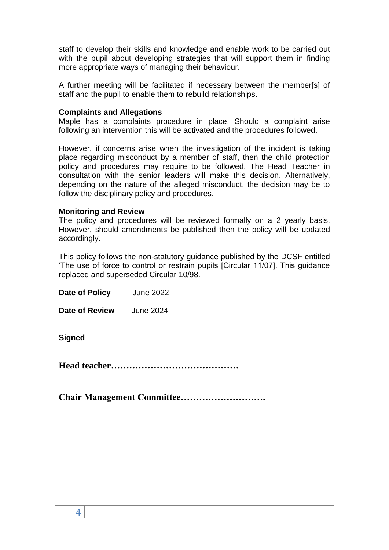staff to develop their skills and knowledge and enable work to be carried out with the pupil about developing strategies that will support them in finding more appropriate ways of managing their behaviour.

A further meeting will be facilitated if necessary between the member[s] of staff and the pupil to enable them to rebuild relationships.

#### **Complaints and Allegations**

Maple has a complaints procedure in place. Should a complaint arise following an intervention this will be activated and the procedures followed.

However, if concerns arise when the investigation of the incident is taking place regarding misconduct by a member of staff, then the child protection policy and procedures may require to be followed. The Head Teacher in consultation with the senior leaders will make this decision. Alternatively, depending on the nature of the alleged misconduct, the decision may be to follow the disciplinary policy and procedures.

#### **Monitoring and Review**

The policy and procedures will be reviewed formally on a 2 yearly basis. However, should amendments be published then the policy will be updated accordingly.

This policy follows the non-statutory guidance published by the DCSF entitled 'The use of force to control or restrain pupils [Circular 11/07]. This guidance replaced and superseded Circular 10/98.

**Date of Policy** June 2022

**Date of Review** June 2024

**Signed**

**Head teacher……………………………………**

**Chair Management Committee……………………….**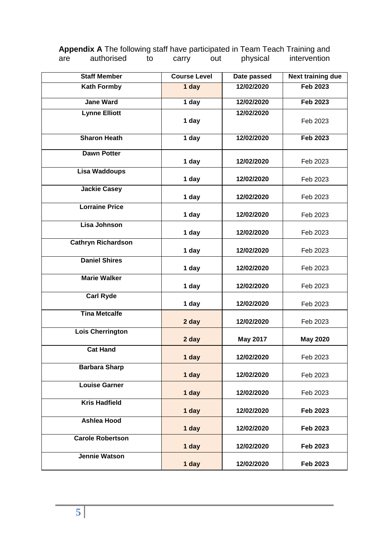**Appendix A** The following staff have participated in Team Teach Training and are authorised to carry out physical intervention

| <b>Staff Member</b>       | <b>Course Level</b> | Date passed     | <b>Next training due</b> |
|---------------------------|---------------------|-----------------|--------------------------|
| <b>Kath Formby</b>        | 1 day               | 12/02/2020      | Feb 2023                 |
| <b>Jane Ward</b>          | 1 day               | 12/02/2020      | <b>Feb 2023</b>          |
| <b>Lynne Elliott</b>      | 1 day               | 12/02/2020      | Feb 2023                 |
| <b>Sharon Heath</b>       | 1 day               | 12/02/2020      | <b>Feb 2023</b>          |
| <b>Dawn Potter</b>        | 1 day               | 12/02/2020      | Feb 2023                 |
| <b>Lisa Waddoups</b>      | 1 day               | 12/02/2020      | Feb 2023                 |
| <b>Jackie Casey</b>       | 1 day               | 12/02/2020      | Feb 2023                 |
| <b>Lorraine Price</b>     | 1 day               | 12/02/2020      | Feb 2023                 |
| Lisa Johnson              | 1 day               | 12/02/2020      | Feb 2023                 |
| <b>Cathryn Richardson</b> | 1 day               | 12/02/2020      | Feb 2023                 |
| <b>Daniel Shires</b>      | 1 day               | 12/02/2020      | Feb 2023                 |
| <b>Marie Walker</b>       | 1 day               | 12/02/2020      | Feb 2023                 |
| <b>Carl Ryde</b>          | 1 day               | 12/02/2020      | Feb 2023                 |
| <b>Tina Metcalfe</b>      | 2 day               | 12/02/2020      | Feb 2023                 |
| <b>Lois Cherrington</b>   | 2 day               | <b>May 2017</b> | <b>May 2020</b>          |
| <b>Cat Hand</b>           | 1 day               | 12/02/2020      | Feb 2023                 |
| <b>Barbara Sharp</b>      | 1 day               | 12/02/2020      | Feb 2023                 |
| <b>Louise Garner</b>      | 1 day               | 12/02/2020      | Feb 2023                 |
| <b>Kris Hadfield</b>      | 1 day               | 12/02/2020      | <b>Feb 2023</b>          |
| <b>Ashlea Hood</b>        | 1 day               | 12/02/2020      | <b>Feb 2023</b>          |
| <b>Carole Robertson</b>   | 1 day               | 12/02/2020      | <b>Feb 2023</b>          |
| Jennie Watson             | 1 day               | 12/02/2020      | <b>Feb 2023</b>          |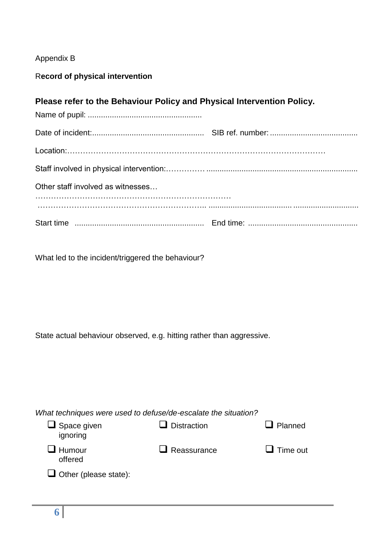# Appendix B

# R**ecord of physical intervention**

# **Please refer to the Behaviour Policy and Physical Intervention Policy.**

| Other staff involved as witnesses |  |
|-----------------------------------|--|
|                                   |  |
|                                   |  |

What led to the incident/triggered the behaviour?

State actual behaviour observed, e.g. hitting rather than aggressive.

|  | What techniques were used to defuse/de-escalate the situation? |
|--|----------------------------------------------------------------|
|--|----------------------------------------------------------------|

| Space given<br>ignoring      | <b>Distraction</b> | $\Box$ Planned  |
|------------------------------|--------------------|-----------------|
| Humour<br>offered            | $\Box$ Reassurance | $\Box$ Time out |
| $\Box$ Other (please state): |                    |                 |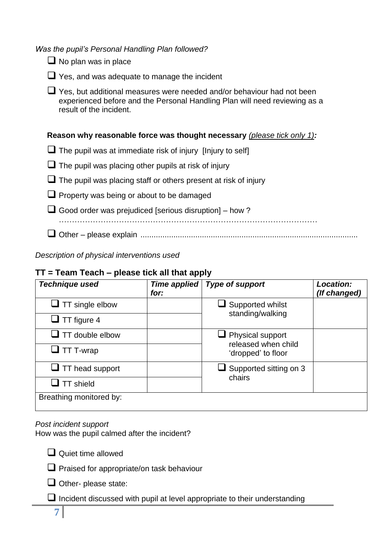*Was the pupil's Personal Handling Plan followed?*

|  |  | $\Box$ No plan was in place |
|--|--|-----------------------------|
|  |  |                             |

 $\Box$  Yes, and was adequate to manage the incident

 $\Box$  Yes, but additional measures were needed and/or behaviour had not been experienced before and the Personal Handling Plan will need reviewing as a result of the incident.

**Reason why reasonable force was thought necessary** *(please tick only 1):*

 $\Box$  The pupil was at immediate risk of injury [Injury to self]

 $\Box$  The pupil was placing other pupils at risk of injury

 $\Box$  The pupil was placing staff or others present at risk of injury

- $\Box$  Property was being or about to be damaged
- $\Box$  Good order was prejudiced [serious disruption] how ?
	- . The same state of the same state of the same state of the same state of the same state of the same state of the same state of the same state of the same state of the same state of the same state of the same state of the
- Other please explain ...................................................................................................

*Description of physical interventions used*

# **TT = Team Teach – please tick all that apply**

| <b>Technique used</b>   | Time applied<br>for: | <b>Type of support</b>                    | Location:<br>(If changed) |
|-------------------------|----------------------|-------------------------------------------|---------------------------|
| $\Box$ TT single elbow  |                      | Supported whilst                          |                           |
| $\Box$ TT figure 4      |                      | standing/walking                          |                           |
| $\Box$ TT double elbow  |                      | $\Box$ Physical support                   |                           |
| $\Box$ TT T-wrap        |                      | released when child<br>'dropped' to floor |                           |
| $\Box$ TT head support  |                      | Supported sitting on 3                    |                           |
| <b>TT</b> shield        |                      | chairs                                    |                           |
| Breathing monitored by: |                      |                                           |                           |

*Post incident support*

How was the pupil calmed after the incident?



 $\Box$  Praised for appropriate/on task behaviour

 $\Box$  Other- please state:

 $\Box$  Incident discussed with pupil at level appropriate to their understanding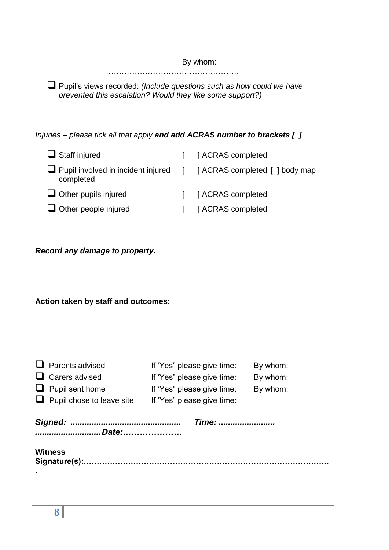By whom:

 Pupil's views recorded: *(Include questions such as how could we have prevented this escalation? Would they like some support?)*

……………………………………………

*Injuries – please tick all that apply and add ACRAS number to brackets [ ]*

| $\Box$ Staff injured                                     | 1 ACRAS completed            |
|----------------------------------------------------------|------------------------------|
| $\Box$ Pupil involved in incident injured [<br>completed | ACRAS completed [ ] body map |
| $\Box$ Other pupils injured                              | <b>ACRAS</b> completed       |
| $\Box$ Other people injured                              | ] ACRAS completed            |

*Record any damage to property.*

**Action taken by staff and outcomes:**

| <b>Time: </b>                    |
|----------------------------------|
| By whom:<br>By whom:<br>By whom: |
|                                  |